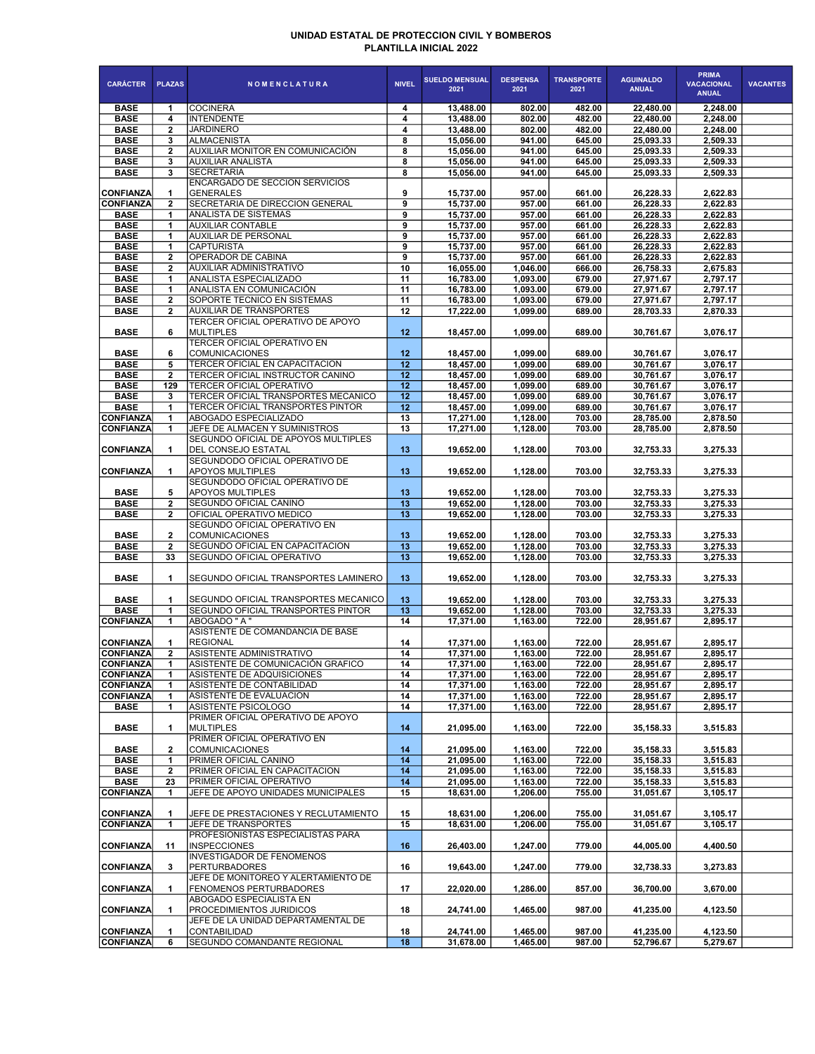## UNIDAD ESTATAL DE PROTECCION CIVIL Y BOMBEROS PLANTILLA INICIAL 2022

| <b>CARÁCTER</b>            | <b>PLAZAS</b>                | <b>NOMENCLATURA</b>                                                    | <b>NIVEL</b>    | <b>SUELDO MENSUAL</b><br>2021 | <b>DESPENSA</b><br>2021 | <b>TRANSPORTE</b><br>2021 | <b>AGUINALDO</b><br><b>ANUAL</b> | <b>PRIMA</b><br><b>VACACIONAL</b><br><b>ANUAL</b> | <b>VACANTES</b> |
|----------------------------|------------------------------|------------------------------------------------------------------------|-----------------|-------------------------------|-------------------------|---------------------------|----------------------------------|---------------------------------------------------|-----------------|
| <b>BASE</b>                | 1                            | <b>COCINERA</b>                                                        | 4               | 13,488.00                     | 802.00                  | 482.00                    | 22,480.00                        | 2,248.00                                          |                 |
| <b>BASE</b>                | 4                            | <b>INTENDENTE</b>                                                      | 4               | 13,488.00                     | 802.00                  | 482.00                    | 22,480.00                        | 2,248.00                                          |                 |
| <b>BASE</b>                | $\overline{2}$               | <b>JARDINERO</b>                                                       | 4               | 13,488.00                     | 802.00                  | 482.00                    | 22,480.00                        | 2,248.00                                          |                 |
| <b>BASE</b>                | 3                            | <b>ALMACENISTA</b>                                                     | 8               | 15.056.00                     | 941.00                  | 645.00                    | 25,093.33                        | 2,509.33                                          |                 |
| <b>BASE</b><br><b>BASE</b> | $\mathbf{2}$<br>3            | AUXILIAR MONITOR EN COMUNICACIÓN<br><b>AUXILIAR ANALISTA</b>           | 8<br>8          | 15,056.00<br>15,056.00        | 941.00<br>941.00        | 645.00<br>645.00          | 25,093.33<br>25,093.33           | 2,509.33<br>2,509.33                              |                 |
| <b>BASE</b>                | 3                            | <b>SECRETARIA</b>                                                      | 8               | 15,056.00                     | 941.00                  | 645.00                    | 25,093.33                        | 2,509.33                                          |                 |
|                            |                              | <b>ENCARGADO DE SECCION SERVICIOS</b>                                  |                 |                               |                         |                           |                                  |                                                   |                 |
| <b>CONFIANZA</b>           | 1                            | <b>GENERALES</b>                                                       | 9               | 15,737.00                     | 957.00                  | 661.00                    | 26,228.33                        | 2,622.83                                          |                 |
| <b>CONFIANZA</b>           | $\mathbf{2}$                 | <b>SECRETARIA DE DIRECCION GENERAL</b>                                 | 9               | 15,737.00                     | 957.00                  | 661.00                    | 26,228.33                        | 2,622.83                                          |                 |
| <b>BASE</b>                | 1                            | <b>ANALISTA DE SISTEMAS</b>                                            | 9               | 15,737.00                     | 957.00                  | 661.00                    | 26,228.33                        | 2,622.83                                          |                 |
| <b>BASE</b>                | 1                            | <b>AUXILIAR CONTABLE</b>                                               | 9               | 15,737.00                     | 957.00                  | 661.00                    | 26,228.33                        | 2,622.83                                          |                 |
| <b>BASE</b>                | 1                            | <b>AUXILIAR DE PERSONAL</b>                                            | 9               | 15,737.00                     | 957.00                  | 661.00                    | 26,228.33                        | 2,622.83                                          |                 |
| <b>BASE</b><br><b>BASE</b> | 1<br>$\overline{2}$          | <b>CAPTURISTA</b><br>OPERADOR DE CABINA                                | 9<br>9          | 15,737.00<br>15,737.00        | 957.00<br>957.00        | 661.00<br>661.00          | 26,228.33<br>26,228.33           | 2,622.83<br>2,622.83                              |                 |
| <b>BASE</b>                | $\mathbf{2}$                 | AUXILIAR ADMINISTRATIVO                                                | 10              | 16,055.00                     | 1,046.00                | 666.00                    | 26,758.33                        | 2,675.83                                          |                 |
| <b>BASE</b>                | 1                            | ANALISTA ESPECIALIZADO                                                 | 11              | 16,783.00                     | 1,093.00                | 679.00                    | 27,971.67                        | 2,797.17                                          |                 |
| <b>BASE</b>                | 1                            | ANALISTA EN COMUNICACIÓN                                               | 11              | 16,783.00                     | 1,093.00                | 679.00                    | 27,971.67                        | 2,797.17                                          |                 |
| <b>BASE</b>                | 2                            | SOPORTE TECNICO EN SISTEMAS                                            | 11              | 16,783.00                     | 1,093.00                | 679.00                    | 27,971.67                        | 2,797.17                                          |                 |
| <b>BASE</b>                | 2                            | <b>AUXILIAR DE TRANSPORTES</b>                                         | 12              | 17,222.00                     | 1,099.00                | 689.00                    | 28,703.33                        | 2,870.33                                          |                 |
|                            |                              | TERCER OFICIAL OPERATIVO DE APOYO                                      |                 |                               |                         |                           |                                  |                                                   |                 |
| <b>BASE</b>                | 6                            | MULTIPLES                                                              | 12              | 18,457.00                     | 1,099.00                | 689.00                    | 30,761.67                        | 3,076.17                                          |                 |
|                            |                              | <b>TERCER OFICIAL OPERATIVO EN</b>                                     |                 |                               |                         |                           |                                  |                                                   |                 |
| <b>BASE</b>                | 6                            | <b>COMUNICACIONES</b>                                                  | 12              | 18,457.00                     | 1.099.00                | 689.00                    | 30,761.67                        | 3.076.17                                          |                 |
| <b>BASE</b>                | 5                            | TERCER OFICIAL EN CAPACITACION                                         | 12              | 18,457.00                     | 1,099.00                | 689.00                    | 30,761.67                        | 3,076.17                                          |                 |
| <b>BASE</b>                | $\mathbf{2}$                 | TERCER OFICIAL INSTRUCTOR CANINO                                       | 12              | 18,457.00                     | 1,099.00                | 689.00                    | 30,761.67                        | 3,076.17                                          |                 |
| <b>BASE</b><br><b>BASE</b> | 129<br>3                     | <b>TERCER OFICIAL OPERATIVO</b><br>TERCER OFICIAL TRANSPORTES MECANICO | 12<br>12        | 18,457.00<br>18,457.00        | 1.099.00<br>1,099.00    | 689.00<br>689.00          | 30,761.67<br>30,761.67           | 3,076.17<br>3,076.17                              |                 |
| <b>BASE</b>                | 1                            | TERCER OFICIAL TRANSPORTES PINTOR                                      | 12              | 18,457.00                     | 1,099.00                | 689.00                    | 30,761.67                        | 3,076.17                                          |                 |
| <b>CONFIANZA</b>           | 1                            | ABOGADO ESPECIALIZADO                                                  | 13              | 17,271.00                     | 1.128.00                | 703.00                    | 28,785.00                        | 2,878.50                                          |                 |
| <b>CONFIANZA</b>           | 1                            | JEFE DE ALMACEN Y SUMINISTROS                                          | 13              | 17,271.00                     | 1,128.00                | 703.00                    | 28,785.00                        | 2,878.50                                          |                 |
|                            |                              | SEGUNDO OFICIAL DE APOYOS MULTIPLES                                    |                 |                               |                         |                           |                                  |                                                   |                 |
| <b>CONFIANZA</b>           | 1                            | <b>DEL CONSEJO ESTATAL</b>                                             | 13              | 19,652.00                     | 1,128.00                | 703.00                    | 32.753.33                        | 3,275.33                                          |                 |
|                            |                              | SEGUNDODO OFICIAL OPERATIVO DE                                         |                 |                               |                         |                           |                                  |                                                   |                 |
| <b>CONFIANZA</b>           | 1                            | <b>APOYOS MULTIPLES</b>                                                | 13              | 19,652.00                     | 1,128.00                | 703.00                    | 32,753.33                        | 3,275.33                                          |                 |
|                            |                              | SEGUNDODO OFICIAL OPERATIVO DE                                         |                 |                               |                         |                           |                                  |                                                   |                 |
| <b>BASE</b>                | 5                            | <b>APOYOS MULTIPLES</b>                                                | 13              | 19,652.00                     | 1,128.00                | 703.00                    | 32,753.33                        | 3,275.33                                          |                 |
| <b>BASE</b><br><b>BASE</b> | $\mathbf{2}$<br>$\mathbf{2}$ | SEGUNDO OFICIAL CANINO<br>OFICIAL OPERATIVO MEDICO                     | 13<br>13        | 19,652.00<br>19,652.00        | 1,128.00<br>1,128.00    | 703.00<br>703.00          | 32,753.33<br>32,753.33           | 3,275.33<br>3,275.33                              |                 |
|                            |                              | SEGUNDO OFICIAL OPERATIVO EN                                           |                 |                               |                         |                           |                                  |                                                   |                 |
| <b>BASE</b>                | $\overline{2}$               | <b>COMUNICACIONES</b>                                                  | 13              | 19,652.00                     | 1,128.00                | 703.00                    | 32,753.33                        | 3,275.33                                          |                 |
| <b>BASE</b>                | $\mathbf{2}$                 | SEGUNDO OFICIAL EN CAPACITACION                                        | 13              | 19,652.00                     | 1,128.00                | 703.00                    | 32,753.33                        | 3,275.33                                          |                 |
| <b>BASE</b>                | 33                           | SEGUNDO OFICIAL OPERATIVO                                              | 13              | 19,652.00                     | 1,128.00                | 703.00                    | 32,753.33                        | 3,275.33                                          |                 |
|                            |                              |                                                                        |                 |                               |                         |                           |                                  |                                                   |                 |
| <b>BASE</b>                | 1                            | SEGUNDO OFICIAL TRANSPORTES LAMINERO                                   | 13              | 19,652.00                     | 1,128.00                | 703.00                    | 32,753.33                        | 3,275.33                                          |                 |
|                            |                              |                                                                        |                 |                               |                         |                           |                                  |                                                   |                 |
| <b>BASE</b>                | 1                            | SEGUNDO OFICIAL TRANSPORTES MECANICO                                   | 13 <sub>1</sub> | 19,652.00                     | 1,128.00                | 703.00                    | 32,753.33                        | 3.275.33                                          |                 |
| <b>BASE</b>                | 1                            | <b>SEGUNDO OFICIAL TRANSPORTES PINTOR</b>                              | 13              | 19,652.00                     | 1,128.00                | 703.00                    | 32,753.33                        | 3,275.33                                          |                 |
| <b>CONFIANZA</b>           | 1                            | ABOGADO " A "<br>ASISTENTE DE COMANDANCIA DE BASE                      | 14              | 17,371.00                     | 1,163.00                | 722.00                    | 28,951.67                        | 2,895.17                                          |                 |
| <b>CONFIANZA</b>           | 1                            | <b>REGIONAL</b>                                                        | 14              | 17,371.00                     | 1,163.00                | 722.00                    | 28,951.67                        | 2,895.17                                          |                 |
| <b>CONFIANZA</b>           | $\overline{2}$               | ASISTENTE ADMINISTRATIVO                                               | 14              | 17,371.00                     | 1,163.00                | 722.00                    | 28,951.67                        | 2,895.17                                          |                 |
| <b>CONFIANZA</b>           | 1                            | ASISTENTE DE COMUNICACIÓN GRAFICO                                      | 14              | 17,371.00                     | 1,163.00                | 722.00                    | 28,951.67                        | 2.895.17                                          |                 |
| <b>CONFIANZA</b>           | 1                            | ASISTENTE DE ADQUISICIONES                                             | 14              | 17,371.00                     | 1,163.00                | 722.00                    | 28,951.67                        | 2,895.17                                          |                 |
| <b>CONFIANZA</b>           | 1                            | ASISTENTE DE CONTABILIDAD                                              | 14              | 17,371.00                     | 1,163.00                | 722.00                    | 28.951.67                        | 2,895.17                                          |                 |
| <b>CONFIANZA</b>           | 1                            | ASISTENTE DE EVALUACION                                                | 14              | 17,371.00                     | 1,163.00                | 722.00                    | 28,951.67                        | 2,895.17                                          |                 |
| <b>BASE</b>                | 1                            | ASISTENTE PSICOLOGO                                                    | 14              | 17,371.00                     | 1,163.00                | 722.00                    | 28,951.67                        | 2,895.17                                          |                 |
|                            |                              | PRIMER OFICIAL OPERATIVO DE APOYO                                      |                 |                               |                         |                           |                                  | 3.515.83                                          |                 |
| <b>BASE</b>                | 1                            | MULTIPLES<br>PRIMER OFICIAL OPERATIVO EN                               | 14              | 21,095.00                     | 1,163.00                | 722.00                    | 35, 158.33                       |                                                   |                 |
| <b>BASE</b>                | 2                            | COMUNICACIONES                                                         | 14              | 21,095.00                     | 1,163.00                | 722.00                    | 35, 158.33                       | 3,515.83                                          |                 |
| <b>BASE</b>                | 1                            | PRIMER OFICIAL CANINO                                                  | 14              | 21.095.00                     | 1,163.00                | 722.00                    | 35,158.33                        | 3,515.83                                          |                 |
| <b>BASE</b>                | 2                            | PRIMER OFICIAL EN CAPACITACION                                         | 14              | 21,095.00                     | 1,163.00                | 722.00                    | 35,158.33                        | 3,515.83                                          |                 |
| <b>BASE</b>                | 23                           | PRIMER OFICIAL OPERATIVO                                               | 14              | 21,095.00                     | 1.163.00                | 722.00                    | 35, 158.33                       | 3,515.83                                          |                 |
| <b>CONFIANZA</b>           | 1                            | JEFE DE APOYO UNIDADES MUNICIPALES                                     | 15              | 18,631.00                     | 1,206.00                | 755.00                    | 31,051.67                        | 3,105.17                                          |                 |
|                            |                              |                                                                        |                 |                               |                         |                           |                                  |                                                   |                 |
| <b>CONFIANZA</b>           | 1                            | JEFE DE PRESTACIONES Y RECLUTAMIENTO                                   | 15              | 18,631.00                     | 1,206.00                | 755.00                    | 31,051.67                        | 3,105.17                                          |                 |
| CONFIANZA                  | 1                            | JEFE DE TRANSPORTES                                                    | 15              | 18,631.00                     | 1,206.00                | 755.00                    | 31,051.67                        | 3,105.17                                          |                 |
|                            |                              | PROFESIONISTAS ESPECIALISTAS PARA                                      |                 |                               |                         |                           |                                  |                                                   |                 |
| <b>CONFIANZA</b>           | 11                           | <b>INSPECCIONES</b><br><b>INVESTIGADOR DE FENOMENOS</b>                | 16              | 26,403.00                     | 1,247.00                | 779.00                    | 44,005.00                        | 4,400.50                                          |                 |
| <b>CONFIANZA</b>           | 3                            | PERTURBADORES                                                          | 16              | 19,643.00                     | 1,247.00                | 779.00                    | 32,738.33                        | 3,273.83                                          |                 |
|                            |                              | JEFE DE MONITOREO Y ALERTAMIENTO DE                                    |                 |                               |                         |                           |                                  |                                                   |                 |
| <b>CONFIANZA</b>           | 1                            | <b>FENOMENOS PERTURBADORES</b>                                         | 17              | 22,020.00                     | 1,286.00                | 857.00                    | 36,700.00                        | 3,670.00                                          |                 |
|                            |                              | ABOGADO ESPECIALISTA EN                                                |                 |                               |                         |                           |                                  |                                                   |                 |
| <b>CONFIANZA</b>           | 1                            | PROCEDIMIENTOS JURIDICOS                                               | 18              | 24,741.00                     | 1,465.00                | 987.00                    | 41,235.00                        | 4,123.50                                          |                 |
|                            |                              | JEFE DE LA UNIDAD DEPARTAMENTAL DE                                     |                 |                               |                         |                           |                                  |                                                   |                 |
| <b>CONFIANZA</b>           | 1                            | <b>CONTABILIDAD</b>                                                    | 18              | 24,741.00                     | 1,465.00                | 987.00                    | 41,235.00                        | 4,123.50                                          |                 |
| <b>CONFIANZA</b>           | 6                            | SEGUNDO COMANDANTE REGIONAL                                            | 18              | 31,678.00                     | 1,465.00                | 987.00                    | 52,796.67                        | 5,279.67                                          |                 |